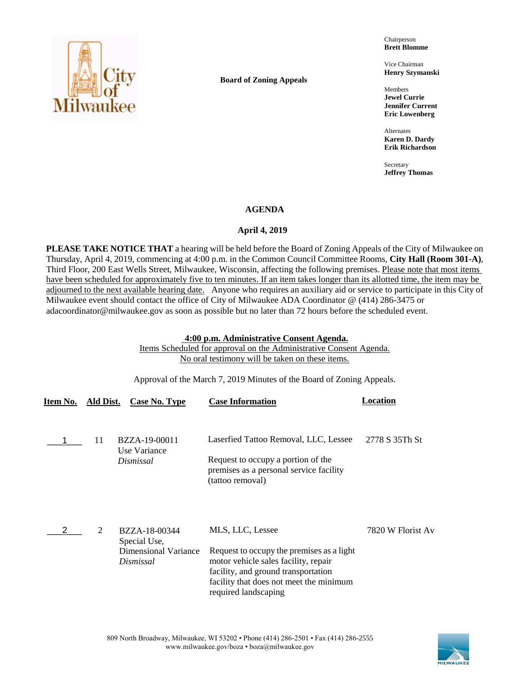

**Board of Zoning Appeals**

Chairperson **Brett Blomme**

Vice Chairman **Henry Szymanski**

Members **Jewel Currie Jennifer Current Eric Lowenberg**

Alternates **Karen D. Dardy Erik Richardson**

Secretary **Jeffrey Thomas**

# **AGENDA**

# **April 4, 2019**

**PLEASE TAKE NOTICE THAT** a hearing will be held before the Board of Zoning Appeals of the City of Milwaukee on Thursday, April 4, 2019, commencing at 4:00 p.m. in the Common Council Committee Rooms, **City Hall (Room 301-A)**, Third Floor, 200 East Wells Street, Milwaukee, Wisconsin, affecting the following premises. Please note that most items have been scheduled for approximately five to ten minutes. If an item takes longer than its allotted time, the item may be adjourned to the next available hearing date. Anyone who requires an auxiliary aid or service to participate in this City of Milwaukee event should contact the office of City of Milwaukee ADA Coordinator @ (414) 286-3475 or adacoordinator@milwaukee.gov as soon as possible but no later than 72 hours before the scheduled event.

# **4:00 p.m. Administrative Consent Agenda.**

Items Scheduled for approval on the Administrative Consent Agenda. No oral testimony will be taken on these items.

Approval of the March 7, 2019 Minutes of the Board of Zoning Appeals.

| Item No. | Ald Dist. | Case No. Type                                                             | <b>Case Information</b>                                                                                                                                                                                         | Location          |
|----------|-----------|---------------------------------------------------------------------------|-----------------------------------------------------------------------------------------------------------------------------------------------------------------------------------------------------------------|-------------------|
|          | 11        | BZZA-19-00011<br>Use Variance<br>Dismissal                                | Laserfied Tattoo Removal, LLC, Lessee<br>Request to occupy a portion of the<br>premises as a personal service facility<br>(tattoo removal)                                                                      | 2778 S 35Th St    |
|          | 2         | BZZA-18-00344<br>Special Use,<br><b>Dimensional Variance</b><br>Dismissal | MLS, LLC, Lessee<br>Request to occupy the premises as a light<br>motor vehicle sales facility, repair<br>facility, and ground transportation<br>facility that does not meet the minimum<br>required landscaping | 7820 W Florist Av |

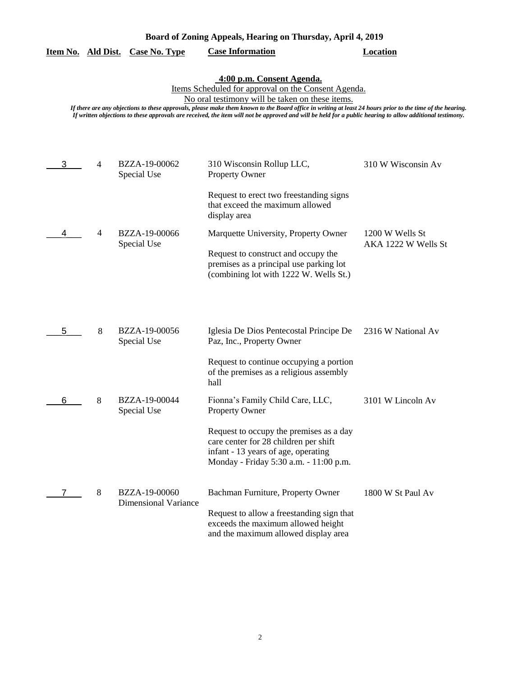| Board of Zoning Appeals, Hearing on Thursday, April 4, 2019 |  |  |
|-------------------------------------------------------------|--|--|
|                                                             |  |  |

#### **Item No. Ald Dist. Case No. Type Case Information Location**

#### **4:00 p.m. Consent Agenda.**

Items Scheduled for approval on the Consent Agenda.

No oral testimony will be taken on these items.

*If there are any objections to these approvals, please make them known to the Board office in writing at least 24 hours prior to the time of the hearing. If written objections to these approvals are received, the item will not be approved and will be held for a public hearing to allow additional testimony.*

| 3 | $\overline{4}$ | BZZA-19-00062<br>Special Use                 | 310 Wisconsin Rollup LLC,<br><b>Property Owner</b>                                                                                                                | 310 W Wisconsin Av                     |
|---|----------------|----------------------------------------------|-------------------------------------------------------------------------------------------------------------------------------------------------------------------|----------------------------------------|
|   |                |                                              | Request to erect two freestanding signs<br>that exceed the maximum allowed<br>display area                                                                        |                                        |
| 4 | 4              | BZZA-19-00066<br>Special Use                 | Marquette University, Property Owner                                                                                                                              | 1200 W Wells St<br>AKA 1222 W Wells St |
|   |                |                                              | Request to construct and occupy the<br>premises as a principal use parking lot<br>(combining lot with 1222 W. Wells St.)                                          |                                        |
|   |                |                                              |                                                                                                                                                                   |                                        |
| 5 | 8              | BZZA-19-00056<br>Special Use                 | Iglesia De Dios Pentecostal Principe De<br>Paz, Inc., Property Owner                                                                                              | 2316 W National Av                     |
|   |                |                                              | Request to continue occupying a portion<br>of the premises as a religious assembly<br>hall                                                                        |                                        |
| 6 | 8              | BZZA-19-00044<br>Special Use                 | Fionna's Family Child Care, LLC,<br><b>Property Owner</b>                                                                                                         | 3101 W Lincoln Av                      |
|   |                |                                              | Request to occupy the premises as a day<br>care center for 28 children per shift<br>infant - 13 years of age, operating<br>Monday - Friday 5:30 a.m. - 11:00 p.m. |                                        |
|   | 8              | BZZA-19-00060<br><b>Dimensional Variance</b> | Bachman Furniture, Property Owner                                                                                                                                 | 1800 W St Paul Av                      |
|   |                |                                              | Request to allow a freestanding sign that<br>exceeds the maximum allowed height<br>and the maximum allowed display area                                           |                                        |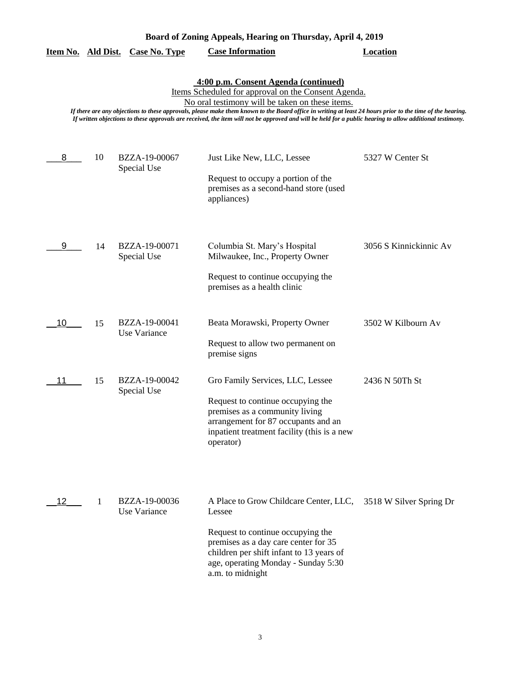| Board of Zoning Appeals, Hearing on Thursday, April 4, 2019 |  |  |  |  |  |
|-------------------------------------------------------------|--|--|--|--|--|
|-------------------------------------------------------------|--|--|--|--|--|

|  |  | Item No. Ald Dist. Case No. Type | <b>Case Information</b> | Location |
|--|--|----------------------------------|-------------------------|----------|
|--|--|----------------------------------|-------------------------|----------|

**4:00 p.m. Consent Agenda (continued)**

Items Scheduled for approval on the Consent Agenda.

No oral testimony will be taken on these items.

*If there are any objections to these approvals, please make them known to the Board office in writing at least 24 hours prior to the time of the hearing. If written objections to these approvals are received, the item will not be approved and will be held for a public hearing to allow additional testimony.*

| 8  | 10 | BZZA-19-00067<br>Special Use         | Just Like New, LLC, Lessee<br>Request to occupy a portion of the<br>premises as a second-hand store (used<br>appliances)                                                                                                                                     | 5327 W Center St       |
|----|----|--------------------------------------|--------------------------------------------------------------------------------------------------------------------------------------------------------------------------------------------------------------------------------------------------------------|------------------------|
| 9  | 14 | BZZA-19-00071<br>Special Use         | Columbia St. Mary's Hospital<br>Milwaukee, Inc., Property Owner<br>Request to continue occupying the<br>premises as a health clinic                                                                                                                          | 3056 S Kinnickinnic Av |
| 10 | 15 | BZZA-19-00041<br><b>Use Variance</b> | Beata Morawski, Property Owner<br>Request to allow two permanent on<br>premise signs                                                                                                                                                                         | 3502 W Kilbourn Av     |
| 11 | 15 | BZZA-19-00042<br>Special Use         | Gro Family Services, LLC, Lessee<br>Request to continue occupying the<br>premises as a community living<br>arrangement for 87 occupants and an<br>inpatient treatment facility (this is a new<br>operator)                                                   | 2436 N 50Th St         |
| 12 | 1  | BZZA-19-00036<br>Use Variance        | A Place to Grow Childcare Center, LLC, 3518 W Silver Spring Dr<br>Lessee<br>Request to continue occupying the<br>premises as a day care center for 35<br>children per shift infant to 13 years of<br>age, operating Monday - Sunday 5:30<br>a.m. to midnight |                        |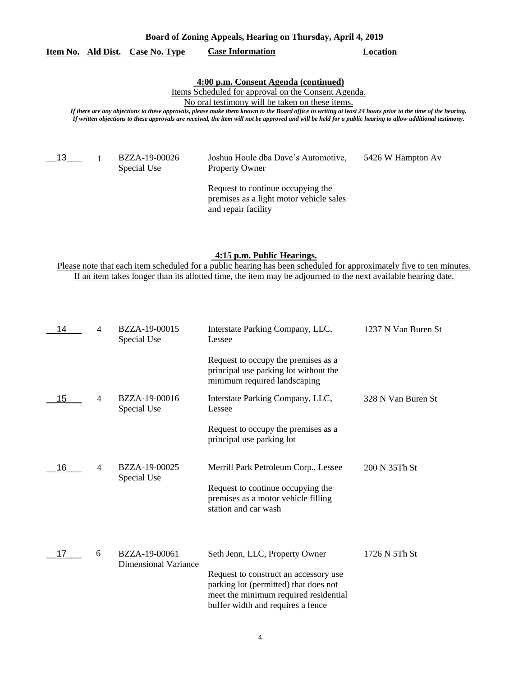### **Item No. Ald Dist. Case No. Type Case Information Location**

### **4:00 p.m. Consent Agenda (continued)**

Items Scheduled for approval on the Consent Agenda.

No oral testimony will be taken on these items.

*If there are any objections to these approvals, please make them known to the Board office in writing at least 24 hours prior to the time of the hearing. If written objections to these approvals are received, the item will not be approved and will be held for a public hearing to allow additional testimony.*

 $13$  1

Special Use

BZZA-19-00026 Joshua Houle dba Dave's Automotive, 5426 W Hampton Av Property Owner

Request to continue occupying the premises as a light motor vehicle sales and repair facility

#### **4:15 p.m. Public Hearings.**

Please note that each item scheduled for a public hearing has been scheduled for approximately five to ten minutes. If an item takes longer than its allotted time, the item may be adjourned to the next available hearing date.

| 14 | 4              | BZZA-19-00015<br>Special Use                 | Interstate Parking Company, LLC,<br>Lessee                                                                                                                                                     | 1237 N Van Buren St |
|----|----------------|----------------------------------------------|------------------------------------------------------------------------------------------------------------------------------------------------------------------------------------------------|---------------------|
|    |                |                                              | Request to occupy the premises as a<br>principal use parking lot without the<br>minimum required landscaping                                                                                   |                     |
| 15 | 4              | BZZA-19-00016<br>Special Use                 | Interstate Parking Company, LLC,<br>Lessee                                                                                                                                                     | 328 N Van Buren St  |
|    |                |                                              | Request to occupy the premises as a<br>principal use parking lot                                                                                                                               |                     |
| 16 | $\overline{4}$ | BZZA-19-00025<br>Special Use                 | Merrill Park Petroleum Corp., Lessee<br>Request to continue occupying the<br>premises as a motor vehicle filling<br>station and car wash                                                       | 200 N 35Th St       |
| 17 | 6              | BZZA-19-00061<br><b>Dimensional Variance</b> | Seth Jenn, LLC, Property Owner<br>Request to construct an accessory use<br>parking lot (permitted) that does not<br>meet the minimum required residential<br>buffer width and requires a fence | 1726 N 5Th St       |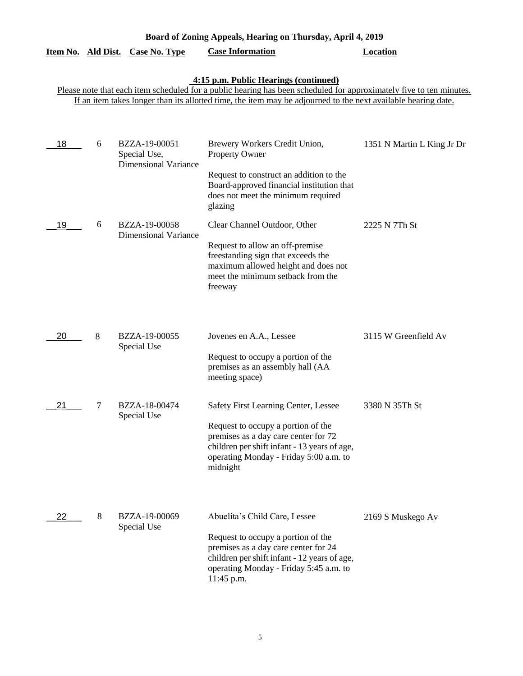| Board of Zoning Appeals, Hearing on Thursday, April 4, 2019 |   |                                                              |                                                                                                                                                                                                                                                                               |                            |  |
|-------------------------------------------------------------|---|--------------------------------------------------------------|-------------------------------------------------------------------------------------------------------------------------------------------------------------------------------------------------------------------------------------------------------------------------------|----------------------------|--|
| Item No. Ald Dist.                                          |   | <b>Case No. Type</b>                                         | <b>Case Information</b>                                                                                                                                                                                                                                                       | <b>Location</b>            |  |
|                                                             |   |                                                              | 4:15 p.m. Public Hearings (continued)<br>Please note that each item scheduled for a public hearing has been scheduled for approximately five to ten minutes.<br>If an item takes longer than its allotted time, the item may be adjourned to the next available hearing date. |                            |  |
| 18                                                          | 6 | BZZA-19-00051<br>Special Use,<br><b>Dimensional Variance</b> | Brewery Workers Credit Union,<br>Property Owner<br>Request to construct an addition to the<br>Board-approved financial institution that<br>does not meet the minimum required<br>glazing                                                                                      | 1351 N Martin L King Jr Dr |  |
| 19                                                          | 6 | BZZA-19-00058<br><b>Dimensional Variance</b>                 | Clear Channel Outdoor, Other<br>Request to allow an off-premise<br>freestanding sign that exceeds the<br>maximum allowed height and does not<br>meet the minimum setback from the<br>freeway                                                                                  | 2225 N 7Th St              |  |
| 20                                                          | 8 | BZZA-19-00055<br>Special Use                                 | Jovenes en A.A., Lessee<br>Request to occupy a portion of the<br>premises as an assembly hall (AA<br>meeting space)                                                                                                                                                           | 3115 W Greenfield Av       |  |
| 21                                                          | 7 | BZZA-18-00474<br>Special Use                                 | Safety First Learning Center, Lessee<br>Request to occupy a portion of the<br>premises as a day care center for 72<br>children per shift infant - 13 years of age,<br>operating Monday - Friday 5:00 a.m. to<br>midnight                                                      | 3380 N 35Th St             |  |
| 22                                                          | 8 | BZZA-19-00069<br>Special Use                                 | Abuelita's Child Care, Lessee<br>Request to occupy a portion of the<br>premises as a day care center for 24<br>children per shift infant - 12 years of age,<br>operating Monday - Friday 5:45 a.m. to<br>11:45 p.m.                                                           | 2169 S Muskego Av          |  |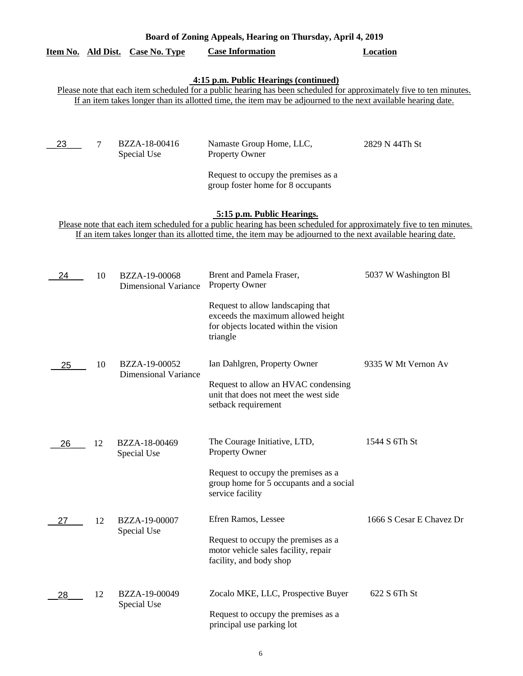| Board of Zoning Appeals, Hearing on Thursday, April 4, 2019                                                                                                                                                                                                                   |                                                                                                                                                                                                                                                                                                         |                                              |                                                                                                                                     |                          |  |  |
|-------------------------------------------------------------------------------------------------------------------------------------------------------------------------------------------------------------------------------------------------------------------------------|---------------------------------------------------------------------------------------------------------------------------------------------------------------------------------------------------------------------------------------------------------------------------------------------------------|----------------------------------------------|-------------------------------------------------------------------------------------------------------------------------------------|--------------------------|--|--|
| Item No. Ald Dist.                                                                                                                                                                                                                                                            |                                                                                                                                                                                                                                                                                                         | Case No. Type                                | <b>Case Information</b>                                                                                                             | <b>Location</b>          |  |  |
| 4:15 p.m. Public Hearings (continued)<br>Please note that each item scheduled for a public hearing has been scheduled for approximately five to ten minutes.<br>If an item takes longer than its allotted time, the item may be adjourned to the next available hearing date. |                                                                                                                                                                                                                                                                                                         |                                              |                                                                                                                                     |                          |  |  |
| 23                                                                                                                                                                                                                                                                            | 7                                                                                                                                                                                                                                                                                                       | BZZA-18-00416<br>Special Use                 | Namaste Group Home, LLC,<br><b>Property Owner</b><br>Request to occupy the premises as a                                            | 2829 N 44Th St           |  |  |
|                                                                                                                                                                                                                                                                               | group foster home for 8 occupants<br>5:15 p.m. Public Hearings.<br>Please note that each item scheduled for a public hearing has been scheduled for approximately five to ten minutes.<br>If an item takes longer than its allotted time, the item may be adjourned to the next available hearing date. |                                              |                                                                                                                                     |                          |  |  |
| 24                                                                                                                                                                                                                                                                            | 10                                                                                                                                                                                                                                                                                                      | BZZA-19-00068<br><b>Dimensional Variance</b> | Brent and Pamela Fraser,<br><b>Property Owner</b>                                                                                   | 5037 W Washington Bl     |  |  |
|                                                                                                                                                                                                                                                                               |                                                                                                                                                                                                                                                                                                         |                                              | Request to allow landscaping that<br>exceeds the maximum allowed height<br>for objects located within the vision<br>triangle        |                          |  |  |
| 25                                                                                                                                                                                                                                                                            | 10                                                                                                                                                                                                                                                                                                      | BZZA-19-00052<br><b>Dimensional Variance</b> | Ian Dahlgren, Property Owner<br>Request to allow an HVAC condensing<br>unit that does not meet the west side<br>setback requirement | 9335 W Mt Vernon Av      |  |  |
| 26                                                                                                                                                                                                                                                                            | 12                                                                                                                                                                                                                                                                                                      | BZZA-18-00469<br>Special Use                 | The Courage Initiative, LTD,<br>Property Owner                                                                                      | 1544 S 6Th St            |  |  |
|                                                                                                                                                                                                                                                                               |                                                                                                                                                                                                                                                                                                         |                                              | Request to occupy the premises as a<br>group home for 5 occupants and a social<br>service facility                                  |                          |  |  |
| 27                                                                                                                                                                                                                                                                            | 12                                                                                                                                                                                                                                                                                                      | BZZA-19-00007<br>Special Use                 | Efren Ramos, Lessee<br>Request to occupy the premises as a<br>motor vehicle sales facility, repair<br>facility, and body shop       | 1666 S Cesar E Chavez Dr |  |  |
| 28                                                                                                                                                                                                                                                                            | 12                                                                                                                                                                                                                                                                                                      | BZZA-19-00049<br>Special Use                 | Zocalo MKE, LLC, Prospective Buyer<br>Request to occupy the premises as a<br>principal use parking lot                              | 622 S 6Th St             |  |  |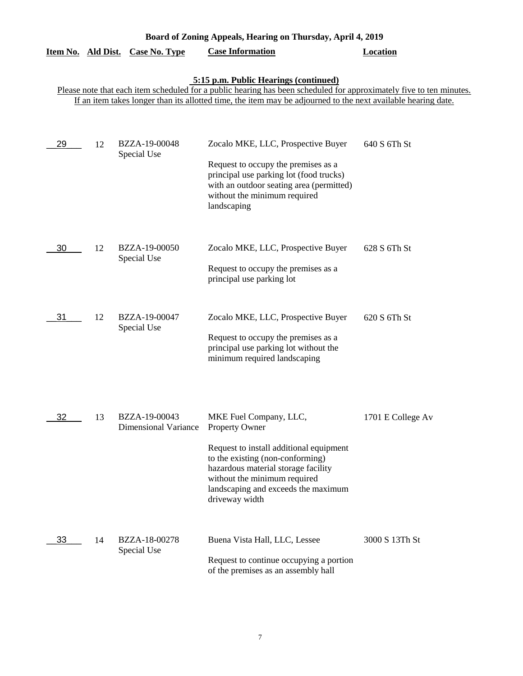| Board of Zoning Appeals, Hearing on Thursday, April 4, 2019 |    |                                              |                                                                                                                                                                                                                                                                               |                   |  |
|-------------------------------------------------------------|----|----------------------------------------------|-------------------------------------------------------------------------------------------------------------------------------------------------------------------------------------------------------------------------------------------------------------------------------|-------------------|--|
| Item No. Ald Dist.                                          |    | <b>Case No. Type</b>                         | <b>Case Information</b>                                                                                                                                                                                                                                                       | <b>Location</b>   |  |
|                                                             |    |                                              | 5:15 p.m. Public Hearings (continued)<br>Please note that each item scheduled for a public hearing has been scheduled for approximately five to ten minutes.<br>If an item takes longer than its allotted time, the item may be adjourned to the next available hearing date. |                   |  |
| 29                                                          | 12 | BZZA-19-00048<br>Special Use                 | Zocalo MKE, LLC, Prospective Buyer<br>Request to occupy the premises as a<br>principal use parking lot (food trucks)<br>with an outdoor seating area (permitted)<br>without the minimum required<br>landscaping                                                               | 640 S 6Th St      |  |
| 30                                                          | 12 | BZZA-19-00050<br>Special Use                 | Zocalo MKE, LLC, Prospective Buyer<br>Request to occupy the premises as a<br>principal use parking lot                                                                                                                                                                        | 628 S 6Th St      |  |
| 31                                                          | 12 | BZZA-19-00047<br>Special Use                 | Zocalo MKE, LLC, Prospective Buyer<br>Request to occupy the premises as a<br>principal use parking lot without the<br>minimum required landscaping                                                                                                                            | 620 S 6Th St      |  |
| 32                                                          | 13 | BZZA-19-00043<br><b>Dimensional Variance</b> | MKE Fuel Company, LLC,<br>Property Owner<br>Request to install additional equipment<br>to the existing (non-conforming)<br>hazardous material storage facility<br>without the minimum required<br>landscaping and exceeds the maximum<br>driveway width                       | 1701 E College Av |  |
| 33                                                          | 14 | BZZA-18-00278<br>Special Use                 | Buena Vista Hall, LLC, Lessee<br>Request to continue occupying a portion<br>of the premises as an assembly hall                                                                                                                                                               | 3000 S 13Th St    |  |

7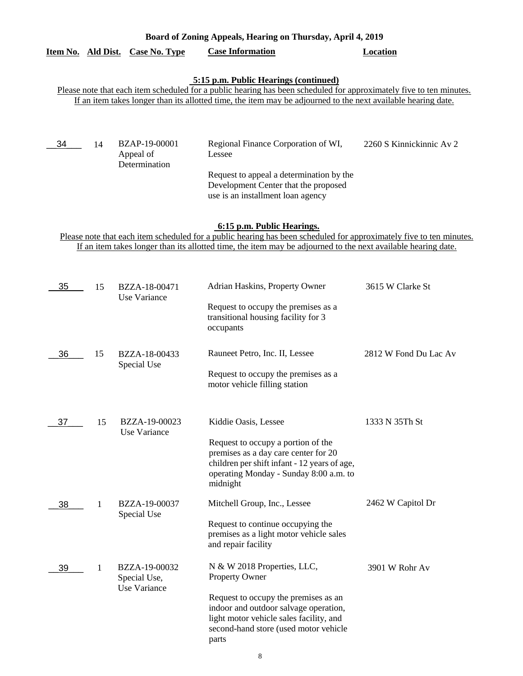| Item No. Ald Dist. |                                                                                                                                                                                                                                                                               | <b>Case No. Type</b>                          | <b>Case Information</b>                                                                                                                                                                                                                                            | <b>Location</b>          |  |  |
|--------------------|-------------------------------------------------------------------------------------------------------------------------------------------------------------------------------------------------------------------------------------------------------------------------------|-----------------------------------------------|--------------------------------------------------------------------------------------------------------------------------------------------------------------------------------------------------------------------------------------------------------------------|--------------------------|--|--|
|                    | 5:15 p.m. Public Hearings (continued)<br>Please note that each item scheduled for a public hearing has been scheduled for approximately five to ten minutes.<br>If an item takes longer than its allotted time, the item may be adjourned to the next available hearing date. |                                               |                                                                                                                                                                                                                                                                    |                          |  |  |
|                    |                                                                                                                                                                                                                                                                               |                                               |                                                                                                                                                                                                                                                                    |                          |  |  |
| 34                 | 14                                                                                                                                                                                                                                                                            | BZAP-19-00001<br>Appeal of<br>Determination   | Regional Finance Corporation of WI,<br>Lessee<br>Request to appeal a determination by the<br>Development Center that the proposed<br>use is an installment loan agency                                                                                             | 2260 S Kinnickinnic Av 2 |  |  |
|                    |                                                                                                                                                                                                                                                                               |                                               | 6:15 p.m. Public Hearings.<br>Please note that each item scheduled for a public hearing has been scheduled for approximately five to ten minutes.<br>If an item takes longer than its allotted time, the item may be adjourned to the next available hearing date. |                          |  |  |
| 35                 | 15                                                                                                                                                                                                                                                                            | BZZA-18-00471<br>Use Variance                 | Adrian Haskins, Property Owner<br>Request to occupy the premises as a<br>transitional housing facility for 3<br>occupants                                                                                                                                          | 3615 W Clarke St         |  |  |
| 36                 | 15                                                                                                                                                                                                                                                                            | BZZA-18-00433<br>Special Use                  | Rauneet Petro, Inc. II, Lessee<br>Request to occupy the premises as a<br>motor vehicle filling station                                                                                                                                                             | 2812 W Fond Du Lac Av    |  |  |
| 37                 | 15                                                                                                                                                                                                                                                                            | BZZA-19-00023<br>Use Variance                 | Kiddie Oasis, Lessee<br>Request to occupy a portion of the<br>premises as a day care center for 20<br>children per shift infant - 12 years of age,<br>operating Monday - Sunday 8:00 a.m. to<br>midnight                                                           | 1333 N 35Th St           |  |  |
| 38                 | 1                                                                                                                                                                                                                                                                             | BZZA-19-00037<br>Special Use                  | Mitchell Group, Inc., Lessee<br>Request to continue occupying the<br>premises as a light motor vehicle sales<br>and repair facility                                                                                                                                | 2462 W Capitol Dr        |  |  |
| 39                 | 1                                                                                                                                                                                                                                                                             | BZZA-19-00032<br>Special Use,<br>Use Variance | N & W 2018 Properties, LLC,<br><b>Property Owner</b><br>Request to occupy the premises as an<br>indoor and outdoor salvage operation,<br>light motor vehicle sales facility, and<br>second-hand store (used motor vehicle<br>parts                                 | 3901 W Rohr Av           |  |  |

**Board of Zoning Appeals, Hearing on Thursday, April 4, 2019**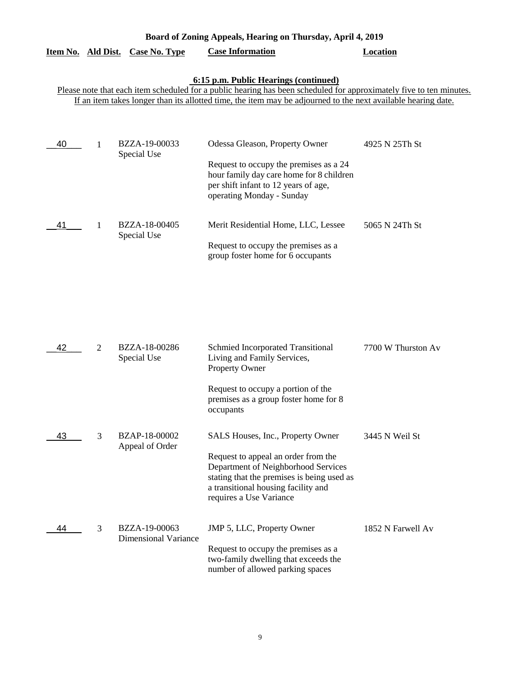|                                                                                                                                                                                                                                                                               |                | Item No. Ald Dist. Case No. Type             | <b>Case Information</b>                                                                                                                                                                                                                      | Location           |  |  |  |
|-------------------------------------------------------------------------------------------------------------------------------------------------------------------------------------------------------------------------------------------------------------------------------|----------------|----------------------------------------------|----------------------------------------------------------------------------------------------------------------------------------------------------------------------------------------------------------------------------------------------|--------------------|--|--|--|
| 6:15 p.m. Public Hearings (continued)<br>Please note that each item scheduled for a public hearing has been scheduled for approximately five to ten minutes.<br>If an item takes longer than its allotted time, the item may be adjourned to the next available hearing date. |                |                                              |                                                                                                                                                                                                                                              |                    |  |  |  |
| 40                                                                                                                                                                                                                                                                            | 1              | BZZA-19-00033<br>Special Use                 | Odessa Gleason, Property Owner<br>Request to occupy the premises as a 24<br>hour family day care home for 8 children<br>per shift infant to 12 years of age,<br>operating Monday - Sunday                                                    | 4925 N 25Th St     |  |  |  |
| 41                                                                                                                                                                                                                                                                            | 1              | BZZA-18-00405<br>Special Use                 | Merit Residential Home, LLC, Lessee<br>Request to occupy the premises as a<br>group foster home for 6 occupants                                                                                                                              | 5065 N 24Th St     |  |  |  |
| 42                                                                                                                                                                                                                                                                            | $\overline{2}$ | BZZA-18-00286<br>Special Use                 | Schmied Incorporated Transitional<br>Living and Family Services,<br>Property Owner<br>Request to occupy a portion of the<br>premises as a group foster home for 8                                                                            | 7700 W Thurston Av |  |  |  |
| 43                                                                                                                                                                                                                                                                            | 3              | BZAP-18-00002<br>Appeal of Order             | occupants<br>SALS Houses, Inc., Property Owner<br>Request to appeal an order from the<br>Department of Neighborhood Services<br>stating that the premises is being used as<br>a transitional housing facility and<br>requires a Use Variance | 3445 N Weil St     |  |  |  |
| 44                                                                                                                                                                                                                                                                            | 3              | BZZA-19-00063<br><b>Dimensional Variance</b> | JMP 5, LLC, Property Owner<br>Request to occupy the premises as a<br>two-family dwelling that exceeds the<br>number of allowed parking spaces                                                                                                | 1852 N Farwell Av  |  |  |  |

**Board of Zoning Appeals, Hearing on Thursday, April 4, 2019**